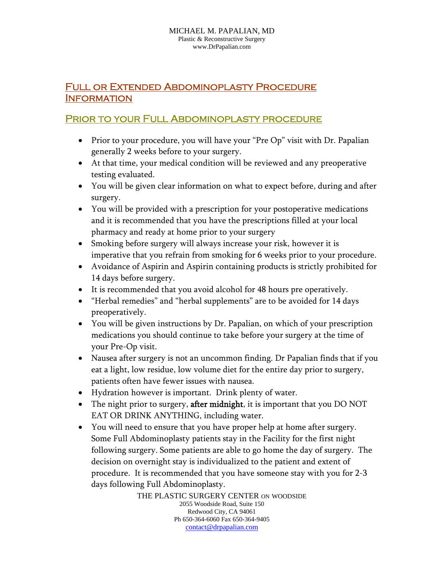## Full or Extended Abdominoplasty Procedure **INFORMATION**

## Prior to your Full Abdominoplasty procedure

- Prior to your procedure, you will have your "Pre Op" visit with Dr. Papalian generally 2 weeks before to your surgery.
- At that time, your medical condition will be reviewed and any preoperative testing evaluated.
- You will be given clear information on what to expect before, during and after surgery.
- You will be provided with a prescription for your postoperative medications and it is recommended that you have the prescriptions filled at your local pharmacy and ready at home prior to your surgery
- Smoking before surgery will always increase your risk, however it is imperative that you refrain from smoking for 6 weeks prior to your procedure.
- Avoidance of Aspirin and Aspirin containing products is strictly prohibited for 14 days before surgery.
- It is recommended that you avoid alcohol for 48 hours pre operatively.
- "Herbal remedies" and "herbal supplements" are to be avoided for 14 days preoperatively.
- You will be given instructions by Dr. Papalian, on which of your prescription medications you should continue to take before your surgery at the time of your Pre-Op visit.
- Nausea after surgery is not an uncommon finding. Dr Papalian finds that if you eat a light, low residue, low volume diet for the entire day prior to surgery, patients often have fewer issues with nausea.
- Hydration however is important. Drink plenty of water.
- The night prior to surgery, **after midnight**, it is important that you DO NOT EAT OR DRINK ANYTHING, including water.
- You will need to ensure that you have proper help at home after surgery. Some Full Abdominoplasty patients stay in the Facility for the first night following surgery. Some patients are able to go home the day of surgery. The decision on overnight stay is individualized to the patient and extent of procedure. It is recommended that you have someone stay with you for 2-3 days following Full Abdominoplasty.

THE PLASTIC SURGERY CENTER ON WOODSIDE 2055 Woodside Road, Suite 150 Redwood City, CA 94061 Ph 650-364-6060 Fax 650-364-9405 contact@drpapalian.com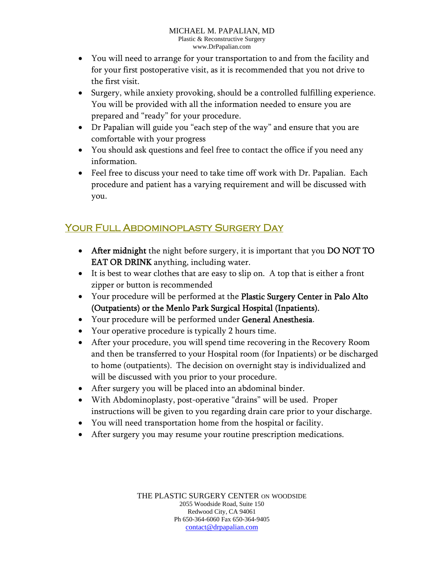- You will need to arrange for your transportation to and from the facility and for your first postoperative visit, as it is recommended that you not drive to the first visit.
- Surgery, while anxiety provoking, should be a controlled fulfilling experience. You will be provided with all the information needed to ensure you are prepared and "ready" for your procedure.
- Dr Papalian will guide you "each step of the way" and ensure that you are comfortable with your progress
- You should ask questions and feel free to contact the office if you need any information.
- Feel free to discuss your need to take time off work with Dr. Papalian. Each procedure and patient has a varying requirement and will be discussed with you.

## Your Full Abdominoplasty Surgery Day

- After midnight the night before surgery, it is important that you DO NOT TO EAT OR DRINK anything, including water.
- It is best to wear clothes that are easy to slip on. A top that is either a front zipper or button is recommended
- Your procedure will be performed at the Plastic Surgery Center in Palo Alto (Outpatients) or the Menlo Park Surgical Hospital (Inpatients).
- Your procedure will be performed under General Anesthesia.
- Your operative procedure is typically 2 hours time.
- After your procedure, you will spend time recovering in the Recovery Room and then be transferred to your Hospital room (for Inpatients) or be discharged to home (outpatients). The decision on overnight stay is individualized and will be discussed with you prior to your procedure.
- After surgery you will be placed into an abdominal binder.
- With Abdominoplasty, post-operative "drains" will be used. Proper instructions will be given to you regarding drain care prior to your discharge.
- You will need transportation home from the hospital or facility.
- After surgery you may resume your routine prescription medications.

THE PLASTIC SURGERY CENTER ON WOODSIDE 2055 Woodside Road, Suite 150 Redwood City, CA 94061 Ph 650-364-6060 Fax 650-364-9405 contact@drpapalian.com